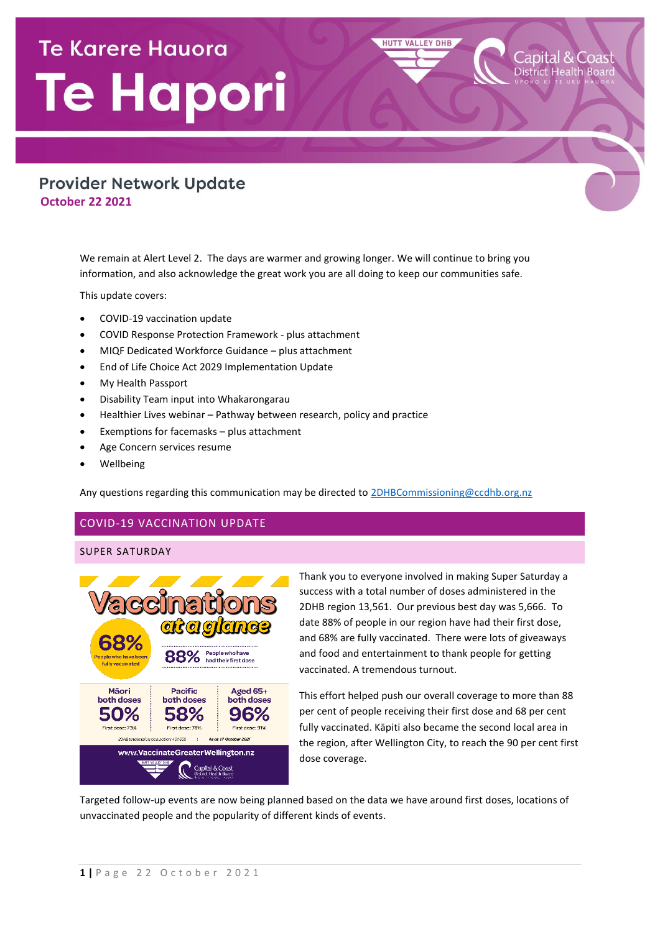# **Te Karere Hauora** Te Hapori

## **Provider Network Update October 22 2021**

We remain at Alert Level 2. The days are warmer and growing longer. We will continue to bring you information, and also acknowledge the great work you are all doing to keep our communities safe.

This update covers:

- COVID-19 vaccination update
- COVID Response Protection Framework plus attachment
- MIQF Dedicated Workforce Guidance plus attachment
- End of Life Choice Act 2029 Implementation Update
- My Health Passport
- Disability Team input into Whakarongarau
- Healthier Lives webinar Pathway between research, policy and practice
- Exemptions for facemasks plus attachment
- Age Concern services resume
- Wellbeing

Any questions regarding this communication may be directed t[o 2DHBCommissioning@ccdhb.org.nz](mailto:2DHBCommissioning@ccdhb.org.nz)

## COVID-19 VACCINATION UPDATE

## SUPER SATURDAY



Thank you to everyone involved in making Super Saturday a success with a total number of doses administered in the 2DHB region 13,561. Our previous best day was 5,666. To date 88% of people in our region have had their first dose, and 68% are fully vaccinated. There were lots of giveaways and food and entertainment to thank people for getting vaccinated. A tremendous turnout.

**HUTT VALLEY DHB** 

Capital & Coast

This effort helped push our overall coverage to more than 88 per cent of people receiving their first dose and 68 per cent fully vaccinated. Kāpiti also became the second local area in the region, after Wellington City, to reach the 90 per cent first dose coverage.

Targeted follow-up events are now being planned based on the data we have around first doses, locations of unvaccinated people and the popularity of different kinds of events.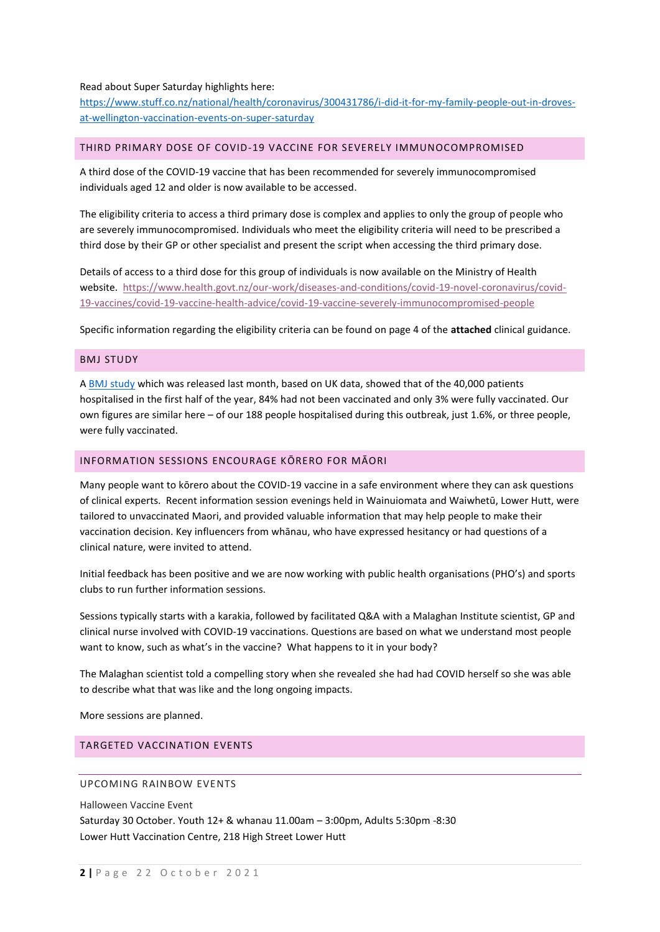#### Read about Super Saturday highlights here:

[https://www.stuff.co.nz/national/health/coronavirus/300431786/i-did-it-for-my-family-people-out-in-droves](https://www.stuff.co.nz/national/health/coronavirus/300431786/i-did-it-for-my-family-people-out-in-droves-at-wellington-vaccination-events-on-super-saturday)[at-wellington-vaccination-events-on-super-saturday](https://www.stuff.co.nz/national/health/coronavirus/300431786/i-did-it-for-my-family-people-out-in-droves-at-wellington-vaccination-events-on-super-saturday)

#### THIRD PRIMARY DOSE OF COVID-19 VACCINE FOR SEVERELY IMMUNOCOMPROMISED

A third dose of the COVID-19 vaccine that has been recommended for severely immunocompromised individuals aged 12 and older is now available to be accessed.

The eligibility criteria to access a third primary dose is complex and applies to only the group of people who are severely immunocompromised. Individuals who meet the eligibility criteria will need to be prescribed a third dose by their GP or other specialist and present the script when accessing the third primary dose.

Details of access to a third dose for this group of individuals is now available on the Ministry of Health website. [https://www.health.govt.nz/our-work/diseases-and-conditions/covid-19-novel-coronavirus/covid-](https://urldefense.com/v3/__https:/www.health.govt.nz/our-work/diseases-and-conditions/covid-19-novel-coronavirus/covid-19-vaccines/covid-19-vaccine-health-advice/covid-19-vaccine-severely-immunocompromised-people__;!!A3teau8g8Q!FnQU2qyDnYDwW4jm0xs1Efi4hG9_BIEl-xA11MDp0-ZUZ-EwL1kxBPZ1PsQ34bQ$)[19-vaccines/covid-19-vaccine-health-advice/covid-19-vaccine-severely-immunocompromised-people](https://urldefense.com/v3/__https:/www.health.govt.nz/our-work/diseases-and-conditions/covid-19-novel-coronavirus/covid-19-vaccines/covid-19-vaccine-health-advice/covid-19-vaccine-severely-immunocompromised-people__;!!A3teau8g8Q!FnQU2qyDnYDwW4jm0xs1Efi4hG9_BIEl-xA11MDp0-ZUZ-EwL1kxBPZ1PsQ34bQ$)

Specific information regarding the eligibility criteria can be found on page 4 of the **attached** clinical guidance.

#### BMJ STUDY

A [BMJ study](https://urldefense.com/v3/__https:/www.bmj.com/content/374/bmj.n2306__;!!A3teau8g8Q!CwOlKTd0dgx5z6jQl5NAQG2rVCg7SfkVGmuKELjAXA_0qhyidAfukY8QxkzFBMScJA8-$) which was released last month, based on UK data, showed that of the 40,000 patients hospitalised in the first half of the year, 84% had not been vaccinated and only 3% were fully vaccinated. Our own figures are similar here – of our 188 people hospitalised during this outbreak, just 1.6%, or three people, were fully vaccinated.

#### INFORMATION SESSIONS ENCOURAGE KŌRERO FOR MĀORI

Many people want to kōrero about the COVID-19 vaccine in a safe environment where they can ask questions of clinical experts. Recent information session evenings held in Wainuiomata and Waiwhetū, Lower Hutt, were tailored to unvaccinated Maori, and provided valuable information that may help people to make their vaccination decision. Key influencers from whānau, who have expressed hesitancy or had questions of a clinical nature, were invited to attend.

Initial feedback has been positive and we are now working with public health organisations (PHO's) and sports clubs to run further information sessions.

Sessions typically starts with a karakia, followed by facilitated Q&A with a Malaghan Institute scientist, GP and clinical nurse involved with COVID-19 vaccinations. Questions are based on what we understand most people want to know, such as what's in the vaccine? What happens to it in your body?

The Malaghan scientist told a compelling story when she revealed she had had COVID herself so she was able to describe what that was like and the long ongoing impacts.

More sessions are planned.

#### TARGETED VACCINATION EVENTS

#### UPCOMING RAINBOW EVENTS

Halloween Vaccine Event Saturday 30 October. Youth 12+ & whanau 11.00am – 3:00pm, Adults 5:30pm -8:30 Lower Hutt Vaccination Centre, 218 High Street Lower Hutt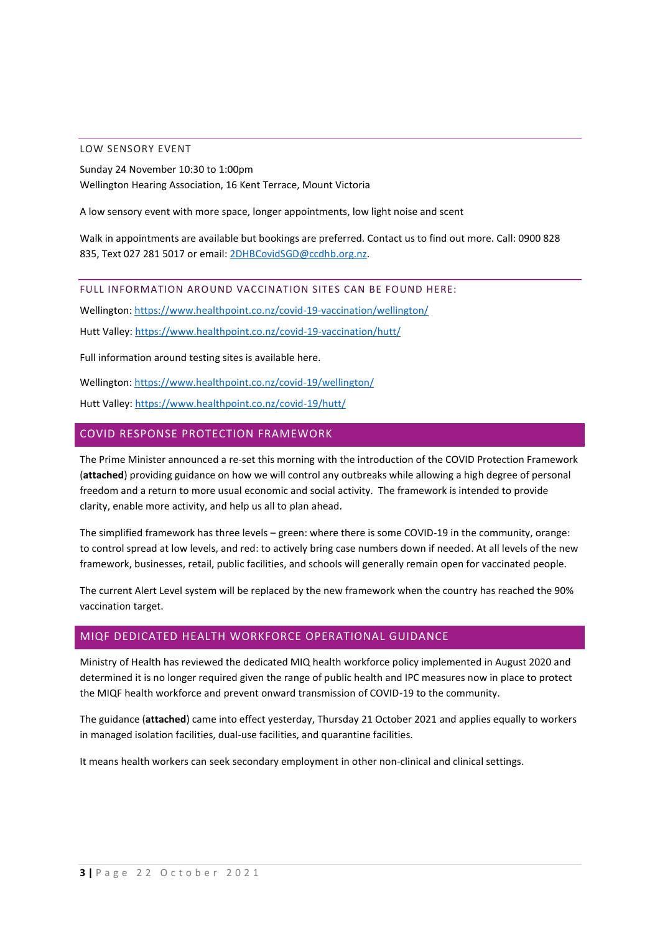#### LOW SENSORY EVENT

Sunday 24 November 10:30 to 1:00pm Wellington Hearing Association, 16 Kent Terrace, Mount Victoria

A low sensory event with more space, longer appointments, low light noise and scent

Walk in appointments are available but bookings are preferred. Contact us to find out more. Call: 0900 828 835, Text 027 281 5017 or email[: 2DHBCovidSGD@ccdhb.org.nz.](mailto:2DHBCovidSGD@ccdhb.org.nz)

FULL INFORMATION AROUND VACCINATION SITES CAN BE FOUND HERE:

Wellington[: https://www.healthpoint.co.nz/covid-19-vaccination/wellington/](https://www.healthpoint.co.nz/covid-19-vaccination/wellington/)

Hutt Valley:<https://www.healthpoint.co.nz/covid-19-vaccination/hutt/>

Full information around testing sites is available here.

Wellington[: https://www.healthpoint.co.nz/covid-19/wellington/](https://www.healthpoint.co.nz/covid-19/wellington/)

Hutt Valley:<https://www.healthpoint.co.nz/covid-19/hutt/>

#### COVID RESPONSE PROTECTION FRAMEWORK

The Prime Minister announced a re-set this morning with the introduction of the COVID Protection Framework (**attached**) providing guidance on how we will control any outbreaks while allowing a high degree of personal freedom and a return to more usual economic and social activity. The framework is intended to provide clarity, enable more activity, and help us all to plan ahead.

The simplified framework has three levels – green: where there is some COVID-19 in the community, orange: to control spread at low levels, and red: to actively bring case numbers down if needed. At all levels of the new framework, businesses, retail, public facilities, and schools will generally remain open for vaccinated people.

The current Alert Level system will be replaced by the new framework when the country has reached the 90% vaccination target.

#### MIQF DEDICATED HEALTH WORKFORCE OPERATIONAL GUIDANCE

Ministry of Health has reviewed the dedicated MIQ health workforce policy implemented in August 2020 and determined it is no longer required given the range of public health and IPC measures now in place to protect the MIQF health workforce and prevent onward transmission of COVID-19 to the community.

The guidance (**attached**) came into effect yesterday, Thursday 21 October 2021 and applies equally to workers in managed isolation facilities, dual-use facilities, and quarantine facilities.

It means health workers can seek secondary employment in other non-clinical and clinical settings.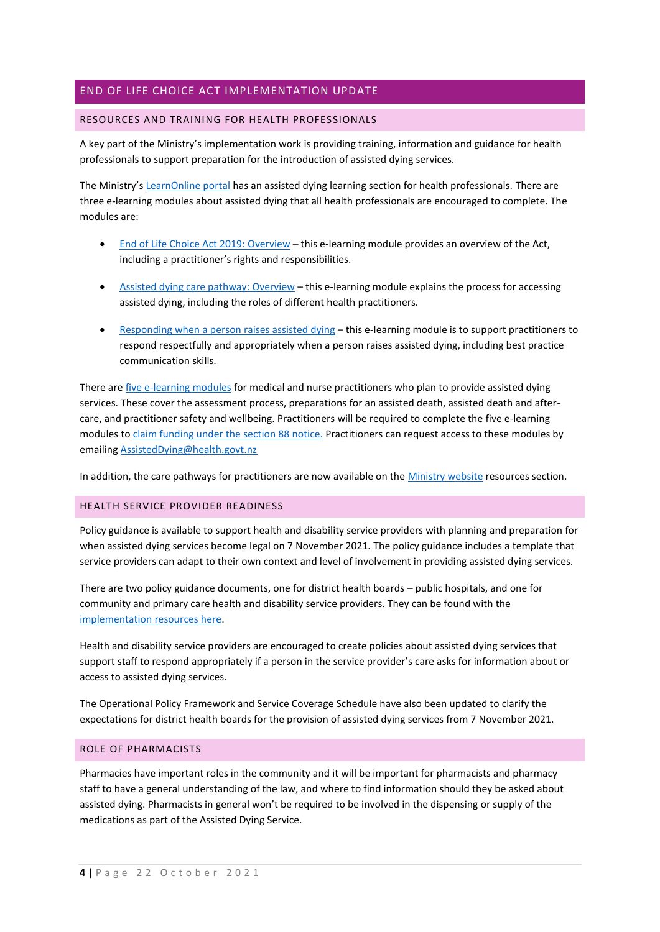## END OF LIFE CHOICE ACT IMPLEMENTATION UPDATE

#### RESOURCES AND TRAINING FOR HEALTH PROFESSIONALS

A key part of the Ministry's implementation work is providing training, information and guidance for health professionals to support preparation for the introduction of assisted dying services.

The Ministry's [LearnOnline portal](https://urldefense.com/v3/__https:/moh-endoflifechoiceact.cmail20.com/t/i-l-ctlwc-trujiidrlk-r/__;!!A3teau8g8Q!C09fbNh5t0Rcx9uXPe3kf_mfwVmRpfTXklj4eJVBDImz7cFacnPUtx2v5jJ6SbPEQ0oT$) has an assisted dying learning section for health professionals. There are three e-learning modules about assisted dying that all health professionals are encouraged to complete. The modules are:

- [End of Life Choice Act 2019: Overview](https://urldefense.com/v3/__https:/moh-endoflifechoiceact.cmail20.com/t/i-l-ctlwc-trujiidrlk-y/__;!!A3teau8g8Q!C09fbNh5t0Rcx9uXPe3kf_mfwVmRpfTXklj4eJVBDImz7cFacnPUtx2v5jJ6SWHtGFy5$) this e-learning module provides an overview of the Act, including a practitioner's rights and responsibilities.
- [Assisted dying care pathway: Overview](https://urldefense.com/v3/__https:/moh-endoflifechoiceact.cmail20.com/t/i-l-ctlwc-trujiidrlk-j/__;!!A3teau8g8Q!C09fbNh5t0Rcx9uXPe3kf_mfwVmRpfTXklj4eJVBDImz7cFacnPUtx2v5jJ6SRcQj_Nz$) this e-learning module explains the process for accessing assisted dying, including the roles of different health practitioners.
- [Responding when a person raises assisted dying](https://urldefense.com/v3/__https:/moh-endoflifechoiceact.cmail20.com/t/i-l-ctlwc-trujiidrlk-t/__;!!A3teau8g8Q!C09fbNh5t0Rcx9uXPe3kf_mfwVmRpfTXklj4eJVBDImz7cFacnPUtx2v5jJ6SUT6B8cE$) this e-learning module is to support practitioners to respond respectfully and appropriately when a person raises assisted dying, including best practice communication skills.

There are [five e-learning modules](https://urldefense.com/v3/__https:/moh-endoflifechoiceact.cmail20.com/t/i-l-ctlwc-trujiidrlk-i/__;!!A3teau8g8Q!C09fbNh5t0Rcx9uXPe3kf_mfwVmRpfTXklj4eJVBDImz7cFacnPUtx2v5jJ6SceKY6ls$) for medical and nurse practitioners who plan to provide assisted dying services. These cover the assessment process, preparations for an assisted death, assisted death and aftercare, and practitioner safety and wellbeing. Practitioners will be required to complete the five e-learning modules to [claim funding under the](https://urldefense.com/v3/__https:/moh-endoflifechoiceact.cmail20.com/t/i-l-ctlwc-trujiidrlk-d/__;!!A3teau8g8Q!C09fbNh5t0Rcx9uXPe3kf_mfwVmRpfTXklj4eJVBDImz7cFacnPUtx2v5jJ6Sc7qc8uE$) section 88 notice. Practitioners can request access to these modules by emailing [AssistedDying@health.govt.nz](mailto:AssistedDying@health.govt.nz)

In addition, the care pathways for practitioners are now available on the [Ministry website](https://urldefense.com/v3/__https:/moh-endoflifechoiceact.cmail20.com/t/i-l-ctlwc-trujiidrlk-o/__;!!A3teau8g8Q!C09fbNh5t0Rcx9uXPe3kf_mfwVmRpfTXklj4eJVBDImz7cFacnPUtx2v5jJ6Sd_KO-4R$) resources section.

#### HEALTH SERVICE PROVIDER READINESS

Policy guidance is available to support health and disability service providers with planning and preparation for when assisted dying services become legal on 7 November 2021. The policy guidance includes a template that service providers can adapt to their own context and level of involvement in providing assisted dying services.

There are two policy guidance documents, one for district health boards – public hospitals, and one for community and primary care health and disability service providers. They can be found with the [implementation resources here.](https://urldefense.com/v3/__https:/moh-endoflifechoiceact.cmail20.com/t/i-l-ctlwc-trujiidrlk-q/__;!!A3teau8g8Q!C09fbNh5t0Rcx9uXPe3kf_mfwVmRpfTXklj4eJVBDImz7cFacnPUtx2v5jJ6SfDP1ImQ$)

Health and disability service providers are encouraged to create policies about assisted dying services that support staff to respond appropriately if a person in the service provider's care asks for information about or access to assisted dying services.

The Operational Policy Framework and Service Coverage Schedule have also been updated to clarify the expectations for district health boards for the provision of assisted dying services from 7 November 2021.

#### ROLE OF PHARMACISTS

Pharmacies have important roles in the community and it will be important for pharmacists and pharmacy staff to have a general understanding of the law, and where to find information should they be asked about assisted dying. Pharmacists in general won't be required to be involved in the dispensing or supply of the medications as part of the Assisted Dying Service.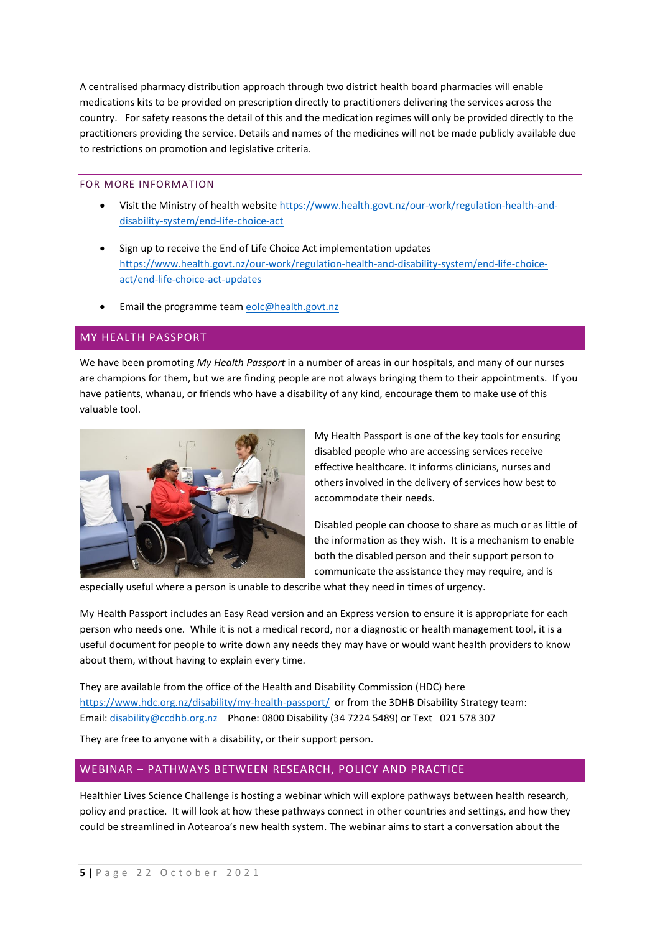A centralised pharmacy distribution approach through two district health board pharmacies will enable medications kits to be provided on prescription directly to practitioners delivering the services across the country. For safety reasons the detail of this and the medication regimes will only be provided directly to the practitioners providing the service. Details and names of the medicines will not be made publicly available due to restrictions on promotion and legislative criteria.

### FOR MORE INFORMATION

- Visit the Ministry of health websit[e https://www.health.govt.nz/our-work/regulation-health-and](https://urldefense.com/v3/__https:/moh-endoflifechoiceact.cmail20.com/t/i-l-ctlwc-trujiidrlk-a/__;!!A3teau8g8Q!C09fbNh5t0Rcx9uXPe3kf_mfwVmRpfTXklj4eJVBDImz7cFacnPUtx2v5jJ6SZpgHWzd$)[disability-system/end-life-choice-act](https://urldefense.com/v3/__https:/moh-endoflifechoiceact.cmail20.com/t/i-l-ctlwc-trujiidrlk-a/__;!!A3teau8g8Q!C09fbNh5t0Rcx9uXPe3kf_mfwVmRpfTXklj4eJVBDImz7cFacnPUtx2v5jJ6SZpgHWzd$)
- Sign up to receive the End of Life Choice Act implementation updates [https://www.health.govt.nz/our-work/regulation-health-and-disability-system/end-life-choice](https://urldefense.com/v3/__https:/moh-endoflifechoiceact.cmail20.com/t/i-l-ctlwc-trujiidrlk-f/__;!!A3teau8g8Q!C09fbNh5t0Rcx9uXPe3kf_mfwVmRpfTXklj4eJVBDImz7cFacnPUtx2v5jJ6SfxRNF-T$)[act/end-life-choice-act-updates](https://urldefense.com/v3/__https:/moh-endoflifechoiceact.cmail20.com/t/i-l-ctlwc-trujiidrlk-f/__;!!A3teau8g8Q!C09fbNh5t0Rcx9uXPe3kf_mfwVmRpfTXklj4eJVBDImz7cFacnPUtx2v5jJ6SfxRNF-T$)
- Email the programme team [eolc@health.govt.nz](mailto:eolc@health.govt.nz)

#### MY HEALTH PASSPORT

We have been promoting *My Health Passport* in a number of areas in our hospitals, and many of our nurses are champions for them, but we are finding people are not always bringing them to their appointments. If you have patients, whanau, or friends who have a disability of any kind, encourage them to make use of this valuable tool.



My Health Passport is one of the key tools for ensuring disabled people who are accessing services receive effective healthcare. It informs clinicians, nurses and others involved in the delivery of services how best to accommodate their needs.

Disabled people can choose to share as much or as little of the information as they wish. It is a mechanism to enable both the disabled person and their support person to communicate the assistance they may require, and is

especially useful where a person is unable to describe what they need in times of urgency.

My Health Passport includes an Easy Read version and an Express version to ensure it is appropriate for each person who needs one. While it is not a medical record, nor a diagnostic or health management tool, it is a useful document for people to write down any needs they may have or would want health providers to know about them, without having to explain every time.

They are available from the office of the Health and Disability Commission (HDC) here <https://www.hdc.org.nz/disability/my-health-passport/>or from the 3DHB Disability Strategy team: Email: [disability@ccdhb.org.nz](mailto:disability@ccdhb.org.nz) Phone: 0800 Disability (34 7224 5489) or Text 021 578 307

They are free to anyone with a disability, or their support person.

## WEBINAR – PATHWAYS BETWEEN RESEARCH, POLICY AND PRACTICE

Healthier Lives Science Challenge is hosting a webinar which will explore pathways between health research, policy and practice. It will look at how these pathways connect in other countries and settings, and how they could be streamlined in Aotearoa's new health system. The webinar aims to start a conversation about the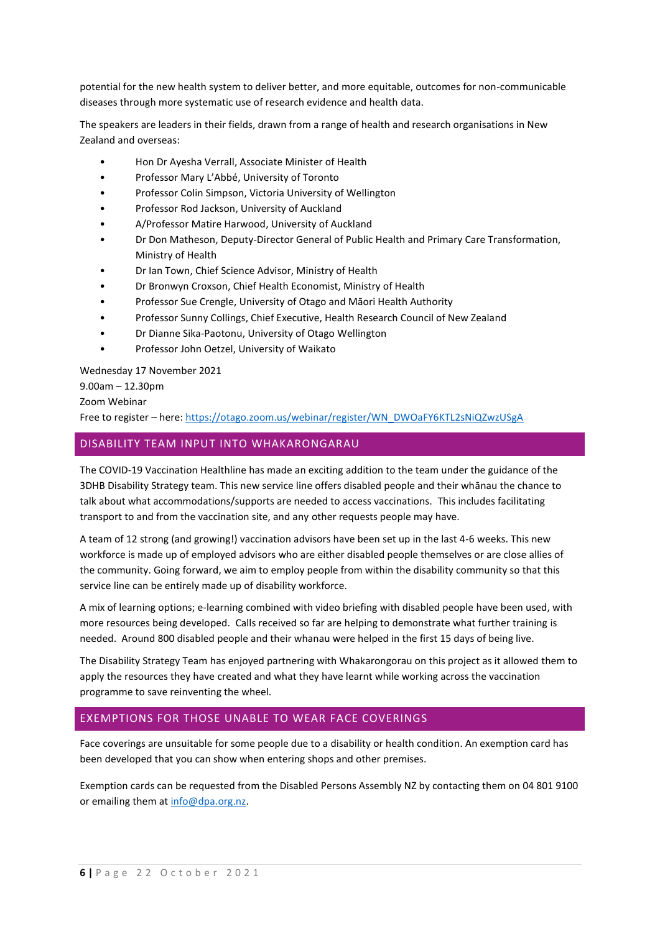potential for the new health system to deliver better, and more equitable, outcomes for non-communicable diseases through more systematic use of research evidence and health data.

The speakers are leaders in their fields, drawn from a range of health and research organisations in New Zealand and overseas:

- Hon Dr Ayesha Verrall, Associate Minister of Health
- Professor Mary L'Abbé, University of Toronto
- Professor Colin Simpson, Victoria University of Wellington
- Professor Rod Jackson, University of Auckland
- A/Professor Matire Harwood, University of Auckland
- Dr Don Matheson, Deputy-Director General of Public Health and Primary Care Transformation, Ministry of Health
- Dr Ian Town, Chief Science Advisor, Ministry of Health
- Dr Bronwyn Croxson, Chief Health Economist, Ministry of Health
- Professor Sue Crengle, University of Otago and Māori Health Authority
- Professor Sunny Collings, Chief Executive, Health Research Council of New Zealand
- Dr Dianne Sika-Paotonu, University of Otago Wellington
- Professor John Oetzel, University of Waikato

Wednesday 17 November 2021

9.00am – 12.30pm

#### Zoom Webinar

Free to register – here: [https://otago.zoom.us/webinar/register/WN\\_DWOaFY6KTL2sNiQZwzUSgA](https://otago.zoom.us/webinar/register/WN_DWOaFY6KTL2sNiQZwzUSgA)

## DISABILITY TEAM INPUT INTO WHAKARONGARAU

The COVID-19 Vaccination Healthline has made an exciting addition to the team under the guidance of the 3DHB Disability Strategy team. This new service line offers disabled people and their whānau the chance to talk about what accommodations/supports are needed to access vaccinations. This includes facilitating transport to and from the vaccination site, and any other requests people may have.

A team of 12 strong (and growing!) vaccination advisors have been set up in the last 4-6 weeks. This new workforce is made up of employed advisors who are either disabled people themselves or are close allies of the community. Going forward, we aim to employ people from within the disability community so that this service line can be entirely made up of disability workforce.

A mix of learning options; e-learning combined with video briefing with disabled people have been used, with more resources being developed. Calls received so far are helping to demonstrate what further training is needed. Around 800 disabled people and their whanau were helped in the first 15 days of being live.

The Disability Strategy Team has enjoyed partnering with Whakarongorau on this project as it allowed them to apply the resources they have created and what they have learnt while working across the vaccination programme to save reinventing the wheel.

## EXEMPTIONS FOR THOSE UNABLE TO WEAR FACE COVERINGS

Face coverings are unsuitable for some people due to a disability or health condition. An exemption card has been developed that you can show when entering shops and other premises.

Exemption cards can be requested from the Disabled Persons Assembly NZ by contacting them on 04 801 9100 or emailing them at [info@dpa.org.nz.](mailto:info@dpa.org.nz)